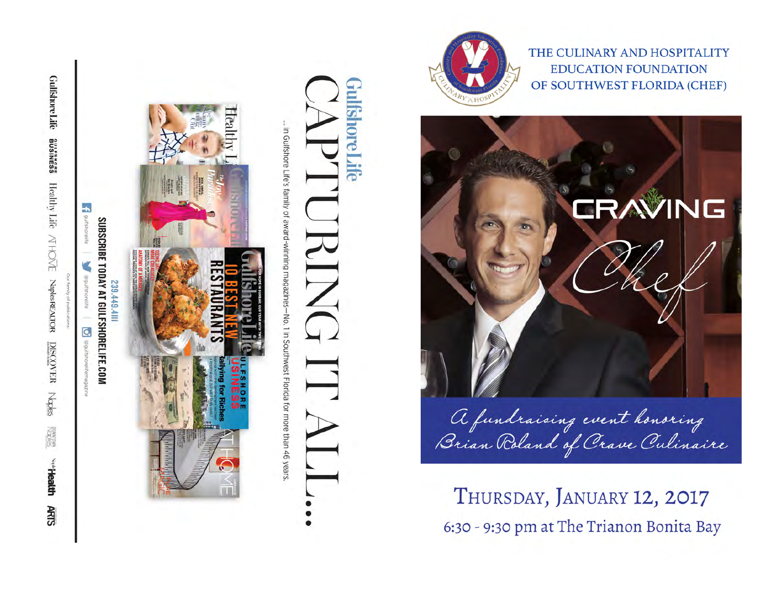



THE CULINARY AND HOSPITALITY **EDUCATION FOUNDATION** OF SOUTHWEST FLORIDA (CHEF)



A fundraising event honoring<br>Brian Roland of Crave Culinaire

THURSDAY, JANUARY 12, 2017 6:30 - 9:30 pm at The Trianon Bonita Bay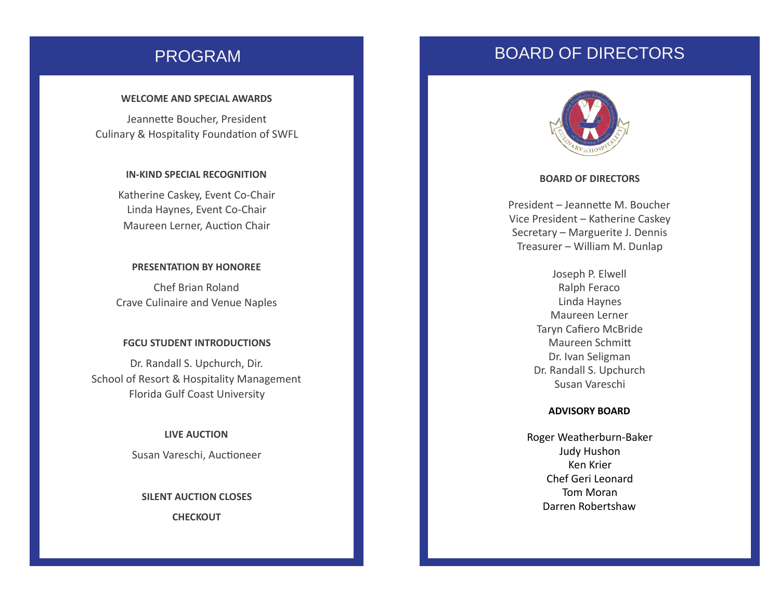### WELCOME AND SPECIAL AWARDS

Jeannette Boucher, President Culinary & Hospitality Foundation of SWFL

### **IN-KIND SPECIAL RECOGNITION**

Katherine Caskey, Event Co-Chair Linda Haynes, Event Co-Chair Maureen Lerner, Auction Chair

### **PRESENTATION BY HONOREE**

Chef Brian Roland Crave Culinaire and Venue Naples

### **FGCU STUDENT INTRODUCTIONS**

Dr. Randall S. Upchurch, Dir. School of Resort & Hospitality Management Florida Gulf Coast University

### **LIVE AUCTION**

Susan Vareschi, Auctioneer

# **SILENT AUCTION CLOSES**

**CHECKOUT** 

## PROGRAM BOARD OF DIRECTORS



#### **BOARD OF DIRECTORS**

President - Jeannette M. Boucher Vice President – Katherine Caskey Secretary - Marguerite J. Dennis Treasurer – William M. Dunlap

> Joseph P. Elwell Ralph Feraco Linda Haynes Maureen Lerner Taryn Cafiero McBride Maureen Schmitt Dr. Ivan Seligman Dr. Randall S. Upchurch Susan Vareschi

### **ADVISORY BOARD**

Roger Weatherburn-Baker Judy Hushon Ken Krier Chef Geri Leonard Tom Moran Darren Robertshaw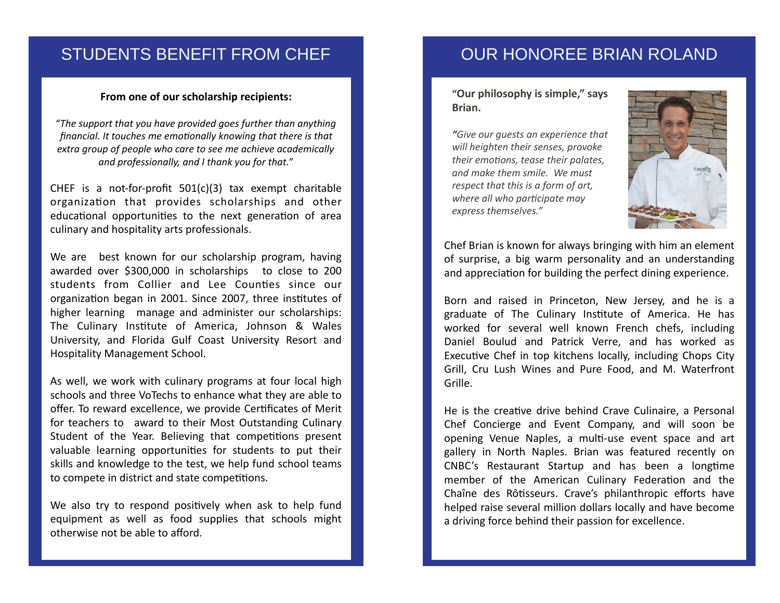## STUDENTS BENEFIT FROM CHEF

### From one of our scholarship recipients:

"The support that you have provided goes further than anything *financial.* It touches me emotionally knowing that there is that extra group of people who care to see me achieve academically and professionally, and I thank you for that."

CHEF is a not-for-profit  $501(c)(3)$  tax exempt charitable organization that provides scholarships and other educational opportunities to the next generation of area culinary and hospitality arts professionals.

We are best known for our scholarship program, having awarded over \$300,000 in scholarships to close to 200 students from Collier and Lee Counties since our organization began in 2001. Since 2007, three institutes of higher learning manage and administer our scholarships: The Culinary Institute of America, Johnson & Wales University, and Florida Gulf Coast University Resort and Hospitality Management School.

As well, we work with culinary programs at four local high schools and three VoTechs to enhance what they are able to offer. To reward excellence, we provide Certificates of Merit for teachers to award to their Most Outstanding Culinary Student of the Year. Believing that competitions present valuable learning opportunities for students to put their skills and knowledge to the test, we help fund school teams to compete in district and state competitions.

We also try to respond positively when ask to help fund equipment as well as food supplies that schools might otherwise not be able to afford.

## OUR HONOREE BRIAN ROLAND

### "Our philosophy is simple," says **Brian.**

*"Give our guests an experience that will heighten their senses, provoke their emotions, tease their palates, and make them smile. We must respect that this is a form of art, where all who participate may express themselves."*



Chef Brian is known for always bringing with him an element of surprise, a big warm personality and an understanding and appreciation for building the perfect dining experience.

Born and raised in Princeton, New Jersey, and he is a graduate of The Culinary Institute of America. He has worked for several well known French chefs, including Daniel Boulud and Patrick Verre, and has worked as Executive Chef in top kitchens locally, including Chops City Grill, Cru Lush Wines and Pure Food, and M. Waterfront Grille. 

He is the creative drive behind Crave Culinaire, a Personal Chef Concierge and Event Company, and will soon be opening Venue Naples, a multi-use event space and art gallery in North Naples. Brian was featured recently on CNBC's Restaurant Startup and has been a longtime member of the American Culinary Federation and the Chaîne des Rôtisseurs. Crave's philanthropic efforts have helped raise several million dollars locally and have become a driving force behind their passion for excellence.